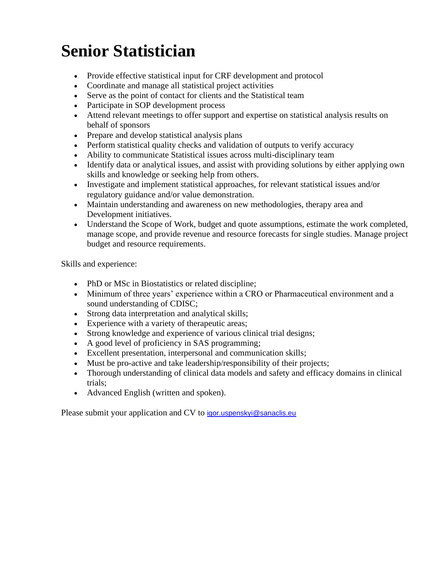## **Senior Statistician**

- Provide effective statistical input for CRF development and protocol
- Coordinate and manage all statistical project activities
- Serve as the point of contact for clients and the Statistical team
- Participate in SOP development process
- Attend relevant meetings to offer support and expertise on statistical analysis results on behalf of sponsors
- Prepare and develop statistical analysis plans
- Perform statistical quality checks and validation of outputs to verify accuracy
- Ability to communicate Statistical issues across multi-disciplinary team
- Identify data or analytical issues, and assist with providing solutions by either applying own skills and knowledge or seeking help from others.
- Investigate and implement statistical approaches, for relevant statistical issues and/or regulatory guidance and/or value demonstration.
- Maintain understanding and awareness on new methodologies, therapy area and Development initiatives.
- Understand the Scope of Work, budget and quote assumptions, estimate the work completed, manage scope, and provide revenue and resource forecasts for single studies. Manage project budget and resource requirements.

Skills and experience:

- PhD or MSc in Biostatistics or related discipline;
- Minimum of three years' experience within a CRO or Pharmaceutical environment and a sound understanding of CDISC;
- Strong data interpretation and analytical skills;
- Experience with a variety of therapeutic areas;
- Strong knowledge and experience of various clinical trial designs;
- A good level of proficiency in SAS programming;
- Excellent presentation, interpersonal and communication skills;
- Must be pro-active and take leadership/responsibility of their projects;
- Thorough understanding of clinical data models and safety and efficacy domains in clinical trials;
- Advanced English (written and spoken).

Please submit your application and CV to [igor.uspenskyi@sanaclis.eu](mailto:igor.uspenskyi@sanaclis.eu)